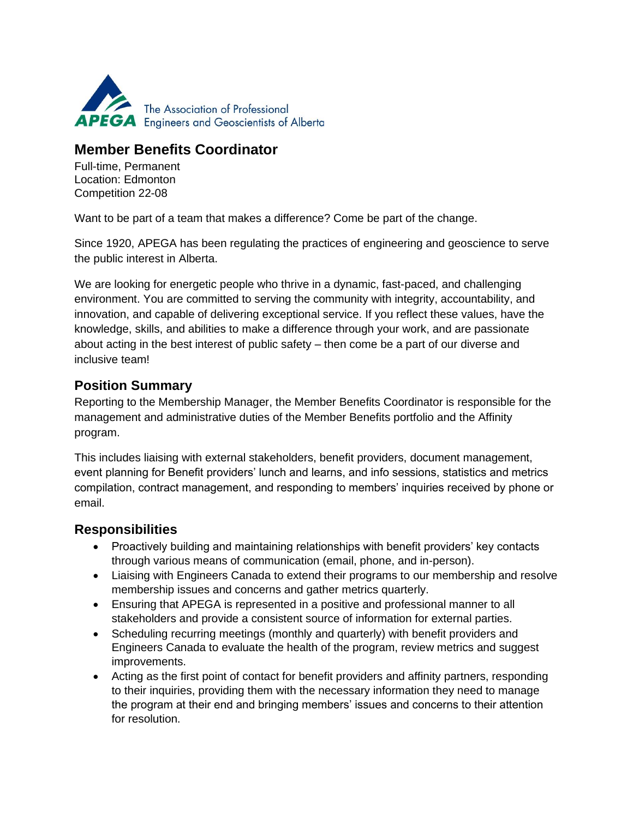

# **Member Benefits Coordinator**

Full-time, Permanent Location: Edmonton Competition 22-08

Want to be part of a team that makes a difference? Come be part of the change.

Since 1920, APEGA has been regulating the practices of engineering and geoscience to serve the public interest in Alberta.

We are looking for energetic people who thrive in a dynamic, fast-paced, and challenging environment. You are committed to serving the community with integrity, accountability, and innovation, and capable of delivering exceptional service. If you reflect these values, have the knowledge, skills, and abilities to make a difference through your work, and are passionate about acting in the best interest of public safety – then come be a part of our diverse and inclusive team!

## **Position Summary**

Reporting to the Membership Manager, the Member Benefits Coordinator is responsible for the management and administrative duties of the Member Benefits portfolio and the Affinity program.

This includes liaising with external stakeholders, benefit providers, document management, event planning for Benefit providers' lunch and learns, and info sessions, statistics and metrics compilation, contract management, and responding to members' inquiries received by phone or email.

### **Responsibilities**

- Proactively building and maintaining relationships with benefit providers' key contacts through various means of communication (email, phone, and in-person).
- Liaising with Engineers Canada to extend their programs to our membership and resolve membership issues and concerns and gather metrics quarterly.
- Ensuring that APEGA is represented in a positive and professional manner to all stakeholders and provide a consistent source of information for external parties.
- Scheduling recurring meetings (monthly and quarterly) with benefit providers and Engineers Canada to evaluate the health of the program, review metrics and suggest improvements.
- Acting as the first point of contact for benefit providers and affinity partners, responding to their inquiries, providing them with the necessary information they need to manage the program at their end and bringing members' issues and concerns to their attention for resolution.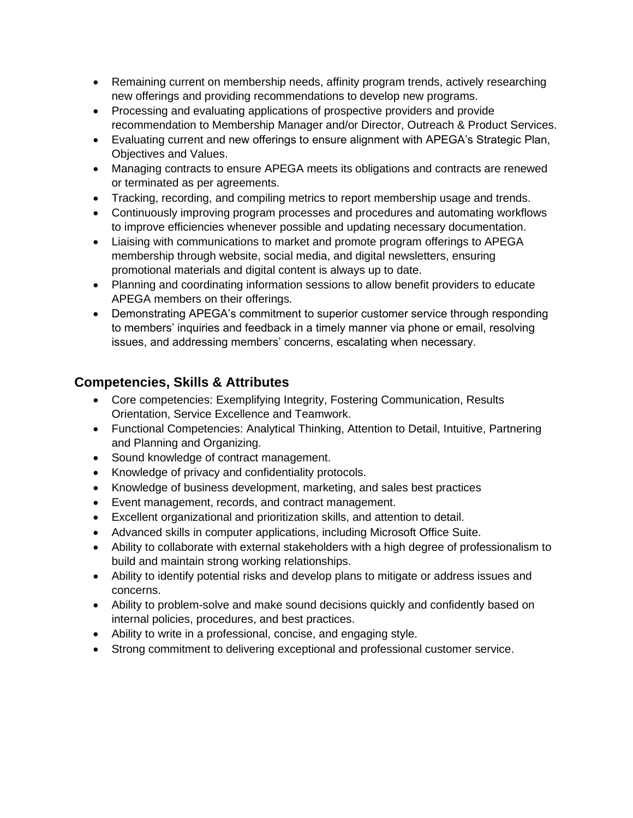- Remaining current on membership needs, affinity program trends, actively researching new offerings and providing recommendations to develop new programs.
- Processing and evaluating applications of prospective providers and provide recommendation to Membership Manager and/or Director, Outreach & Product Services.
- Evaluating current and new offerings to ensure alignment with APEGA's Strategic Plan, Objectives and Values.
- Managing contracts to ensure APEGA meets its obligations and contracts are renewed or terminated as per agreements.
- Tracking, recording, and compiling metrics to report membership usage and trends.
- Continuously improving program processes and procedures and automating workflows to improve efficiencies whenever possible and updating necessary documentation.
- Liaising with communications to market and promote program offerings to APEGA membership through website, social media, and digital newsletters, ensuring promotional materials and digital content is always up to date.
- Planning and coordinating information sessions to allow benefit providers to educate APEGA members on their offerings.
- Demonstrating APEGA's commitment to superior customer service through responding to members' inquiries and feedback in a timely manner via phone or email, resolving issues, and addressing members' concerns, escalating when necessary.

## **Competencies, Skills & Attributes**

- Core competencies: Exemplifying Integrity, Fostering Communication, Results Orientation, Service Excellence and Teamwork.
- Functional Competencies: Analytical Thinking, Attention to Detail, Intuitive, Partnering and Planning and Organizing.
- Sound knowledge of contract management.
- Knowledge of privacy and confidentiality protocols.
- Knowledge of business development, marketing, and sales best practices
- Event management, records, and contract management.
- Excellent organizational and prioritization skills, and attention to detail.
- Advanced skills in computer applications, including Microsoft Office Suite.
- Ability to collaborate with external stakeholders with a high degree of professionalism to build and maintain strong working relationships.
- Ability to identify potential risks and develop plans to mitigate or address issues and concerns.
- Ability to problem-solve and make sound decisions quickly and confidently based on internal policies, procedures, and best practices.
- Ability to write in a professional, concise, and engaging style.
- Strong commitment to delivering exceptional and professional customer service.